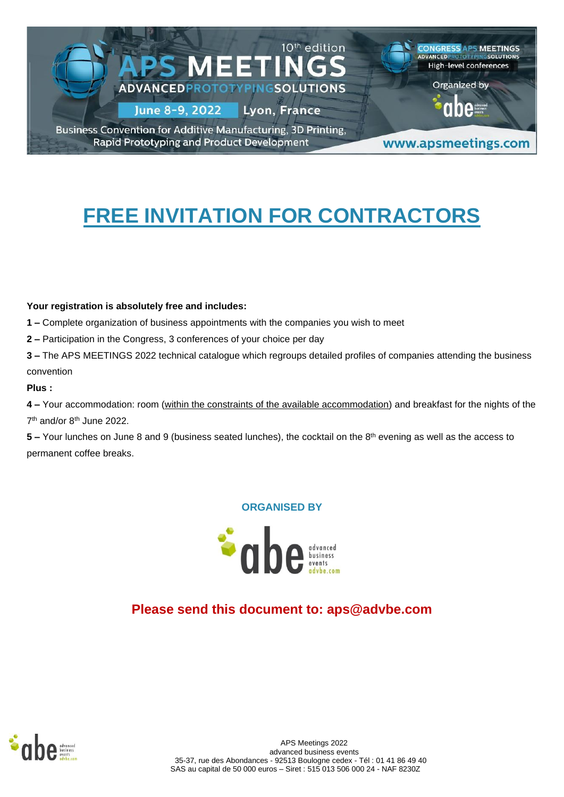

# **FREE INVITATION FOR CONTRACTORS**

#### **Your registration is absolutely free and includes:**

**1 –** Complete organization of business appointments with the companies you wish to meet

**2 –** Participation in the Congress, 3 conferences of your choice per day

**3 –** The APS MEETINGS 2022 technical catalogue which regroups detailed profiles of companies attending the business convention

#### **Plus :**

**4 –** Your accommodation: room (within the constraints of the available accommodation) and breakfast for the nights of the 7<sup>th</sup> and/or 8<sup>th</sup> June 2022.

**5** – Your lunches on June 8 and 9 (business seated lunches), the cocktail on the 8<sup>th</sup> evening as well as the access to permanent coffee breaks.

#### **ORGANISED BY**



# **Please send this document to: aps@advbe.com**

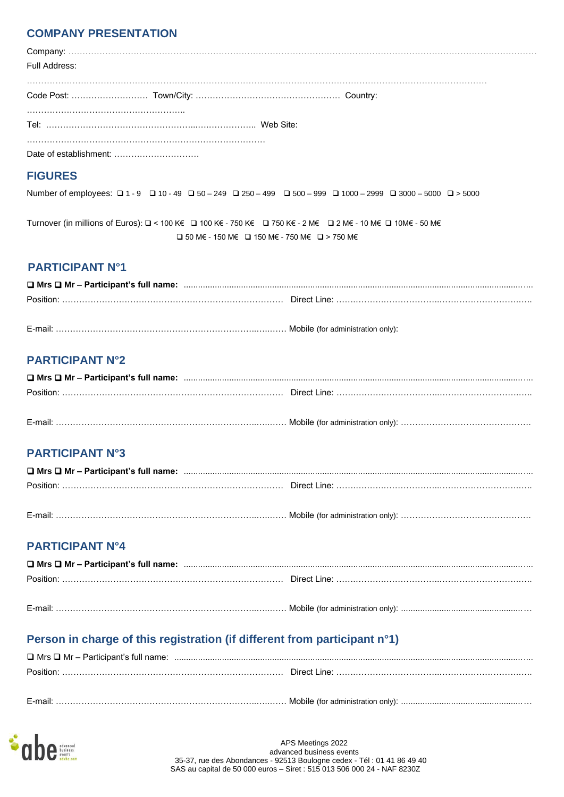### **COMPANY PRESENTATION**

| Full Address: |  |  |  |
|---------------|--|--|--|
|               |  |  |  |
|               |  |  |  |
|               |  |  |  |

### **FIGURES**

Number of employees: ❑ 1 - 9 ❑ 10 - 49 ❑ 50 – 249 ❑ 250 – 499 ❑ 500 – 999 ❑ 1000 – 2999 ❑ 3000 – 5000 ❑ > 5000

Turnover (in millions of Euros): ❑ < 100 K€ ❑ 100 K€ - 750 K€ ❑ 750 K€ - 2 M€ ❑ 2 M€ - 10 M€ ❑ 10M€ - 50 M€ ❑ 50 M€ - 150 M€ ❑ 150 M€ - 750 M€ ❑ > 750 M€

### **PARTICIPANT N°1**

| Position: | :……………………………………………………………………………Direct Line: …………………………………………………………………… |
|-----------|-----------------------------------------------------------------------|
|           |                                                                       |

E-mail: ……………………………………………………………..…..…… Mobile (for administration only):

# **PARTICIPANT N°2**

### **PARTICIPANT N°3**

| Position: |  |
|-----------|--|

### E-mail: ……………………………………………………………..…..…… Mobile (for administration only): ……………………………………….

### **PARTICIPANT N°4**

# **Person in charge of this registration (if different from participant n°1)**

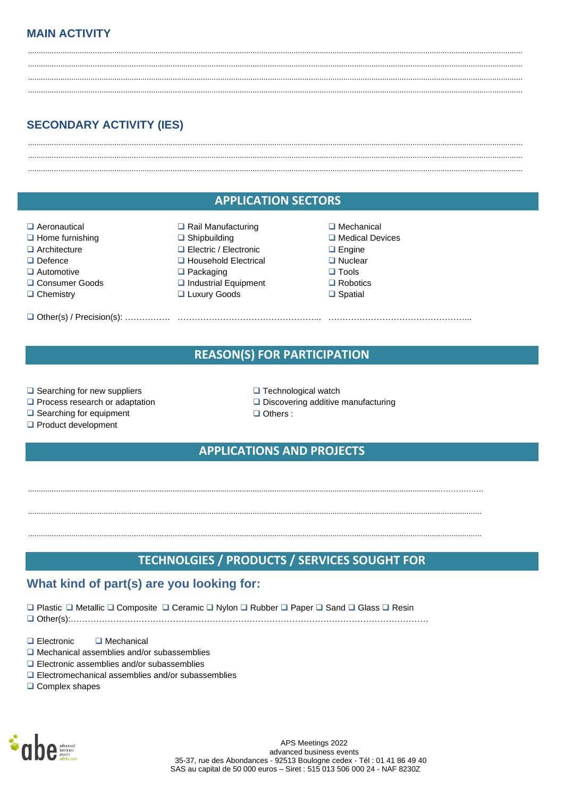## **MAIN ACTIVITY**

# **SECONDARY ACTIVITY (IES)**

### **APPLICATION SECTORS**

- Aeronautical
- $\Box$  Home furnishing
- $\Box$  Architecture
- $\Box$  Defence
- $\Box$  Automotive
- □ Consumer Goods
- $\Box$  Chemistry
- 
- Rail Manufacturing  $\Box$  Shipbuilding
- □ Electric / Electronic
- **u** Household Electrical
- $\Box$  Packaging
- Industrial Equipment
- □ Luxury Goods
- $\Box$  Mechanical
- $\Box$  Medical Devices
- $\Box$  Engine
- $\Box$  Nuclear
- $\Box$  Tools
- $\Box$  Robotics  $\Box$  Spatial
- **REASON(S) FOR PARTICIPATION**
- $\Box$  Searching for new suppliers
- Process research or adaptation
- $\Box$  Searching for equipment
- □ Product development
- $\Box$  Technological watch
- $\Box$  Discovering additive manufacturing
- $\Box$  Others :

### **APPLICATIONS AND PROJECTS**

### TECHNOLGIES / PRODUCTS / SERVICES SOUGHT FOR

### What kind of part(s) are you looking for:

□ Plastic □ Metallic □ Composite □ Ceramic □ Nvlon □ Rubber □ Paper □ Sand □ Glass □ Resin

 $\Box$  Electronic  $\Box$  Mechanical

- $\Box$  Mechanical assemblies and/or subassemblies
- $\Box$  Electronic assemblies and/or subassemblies
- $\Box$  Electromechanical assemblies and/or subassemblies
- $\Box$  Complex shapes



APS Meetings 2022 advanced business events 35-37, rue des Abondances - 92513 Boulogne cedex - Tél : 01 41 86 49 40 SAS au capital de 50 000 euros - Siret : 515 013 506 000 24 - NAF 8230Z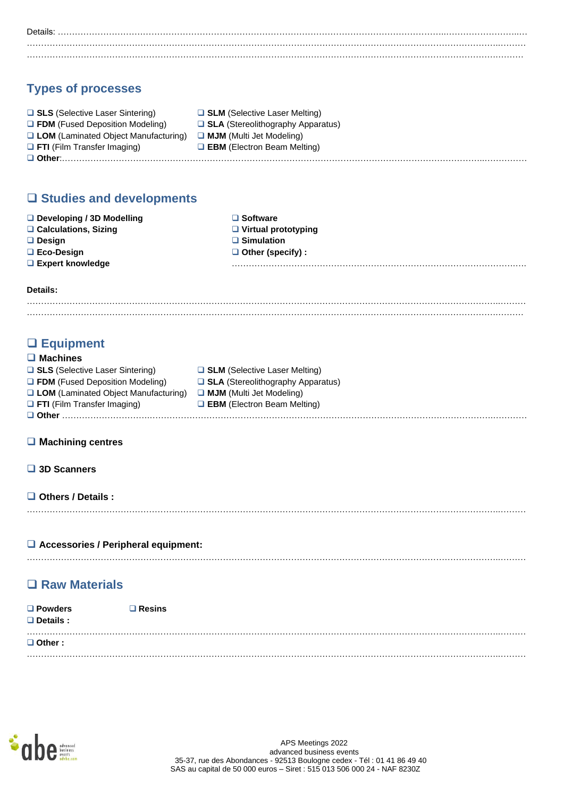Details: ………………………………………………………………………………………………………………………..……………………..… …………………………………………………………………………………………………………………………………………………..……… ………………………………………………………………………………………………………………………………………………….………

# **Types of processes**

| □ SLS (Selective Laser Sintering)           | $\Box$ SLM (Selective Laser Melting)     |
|---------------------------------------------|------------------------------------------|
| $\Box$ FDM (Fused Deposition Modeling)      | $\Box$ SLA (Stereolithography Apparatus) |
| $\Box$ LOM (Laminated Object Manufacturing) | $\Box$ MJM (Multi Jet Modeling)          |
| $\Box$ FTI (Film Transfer Imaging)          | $\Box$ EBM (Electron Beam Melting)       |
|                                             |                                          |

# ❑ **Studies and developments**

| $\Box$ Developing / 3D Modelling | $\square$ Software         |
|----------------------------------|----------------------------|
| $\Box$ Calculations, Sizing      | $\Box$ Virtual prototyping |
| $\Box$ Design                    | $\Box$ Simulation          |
| $\Box$ Eco-Design                | $\Box$ Other (specify) :   |
| $\Box$ Expert knowledge          |                            |
|                                  |                            |

**Details:**

# ❑ **Equipment**

| $\Box$ Machines                             |                                           |
|---------------------------------------------|-------------------------------------------|
| □ SLS (Selective Laser Sintering)           | □ SLM (Selective Laser Melting)           |
| $\Box$ FDM (Fused Deposition Modeling)      | $\Box$ SLA (Stereolithography Apparatus)  |
| $\Box$ LOM (Laminated Object Manufacturing) | <b>MJM</b> (Multi Jet Modeling)           |
| $\Box$ FTI (Film Transfer Imaging)          | $\Box$ <b>EBM</b> (Electron Beam Melting) |
|                                             |                                           |

#### ❑ **Machining centres**

| 3D Scanners |
|-------------|
|             |

#### ❑ **Others / Details :**

# …………………………………………………………………………………………………………………………………………………..………

#### ❑ **Accessories / Peripheral equipment:**

# ❑ **Raw Materials**

| $\Box$ Powders<br>$\Box$ Details : | ⊒ Resins |
|------------------------------------|----------|
| $\Box$ Other :                     |          |
|                                    |          |

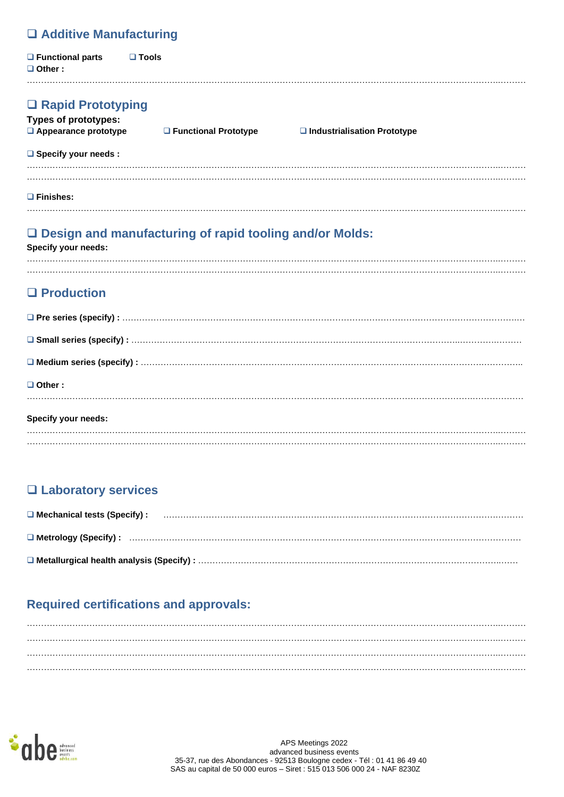# ❑ **Additive Manufacturing**

| $\Box$ Functional parts<br>$\Box$ Other : | $\square$ Tools |
|-------------------------------------------|-----------------|
|                                           | .               |

| $\Box$ Rapid Prototyping<br><b>Types of prototypes:</b><br>$\Box$ Appearance prototype | □ Functional Prototype | $\Box$ Industrialisation Prototype |
|----------------------------------------------------------------------------------------|------------------------|------------------------------------|
| $\Box$ Specify your needs :                                                            |                        |                                    |
|                                                                                        |                        |                                    |
| 1 Finishes:                                                                            |                        |                                    |

# ❑ **Design and manufacturing of rapid tooling and/or Molds:**

**Specify your needs:**

…………………………………………………………………………………………………………………………………………………..………

# ❑ **Production**

| $\Box$ Other:       |
|---------------------|
| Specify your needs: |
|                     |

# ❑ **Laboratory services**

| <b>O</b> Mechanical tests (Specify): <b>www.artical.community.community.community.</b> |
|----------------------------------------------------------------------------------------|
|                                                                                        |
|                                                                                        |

# **Required certifications and approvals:**